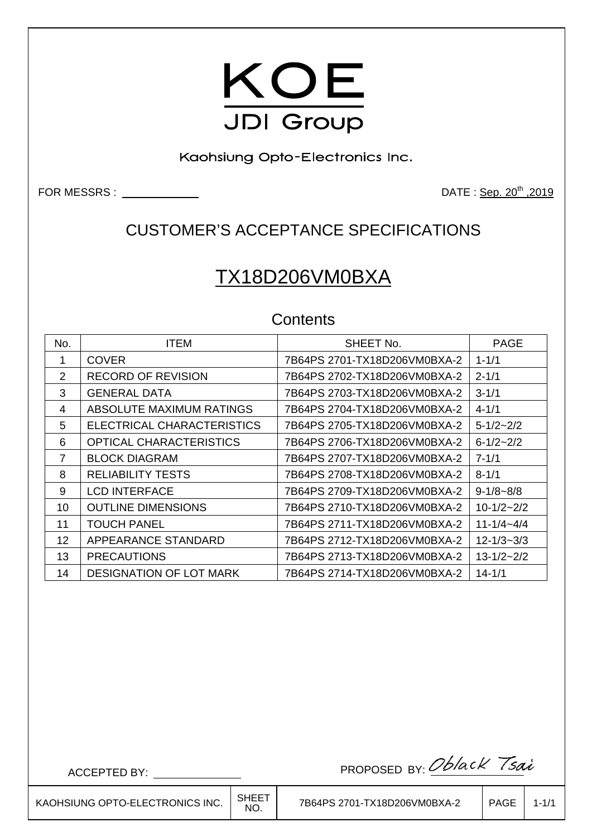

Kaohsiung Opto-Electronics Inc.

FOR MESSRS : DATE : Sep. 20th ,2019

# CUSTOMER'S ACCEPTANCE SPECIFICATIONS

# TX18D206VM0BXA

## **Contents**

| No. | ITEM                           | SHEET No.                    | <b>PAGE</b>      |
|-----|--------------------------------|------------------------------|------------------|
| 1   | <b>COVER</b>                   | 7B64PS 2701-TX18D206VM0BXA-2 | $1 - 1/1$        |
| 2   | <b>RECORD OF REVISION</b>      | 7B64PS 2702-TX18D206VM0BXA-2 | $2 - 1/1$        |
| 3   | <b>GENERAL DATA</b>            | 7B64PS 2703-TX18D206VM0BXA-2 | $3 - 1/1$        |
| 4   | ABSOLUTE MAXIMUM RATINGS       | 7B64PS 2704-TX18D206VM0BXA-2 | $4 - 1/1$        |
| 5   | ELECTRICAL CHARACTERISTICS     | 7B64PS 2705-TX18D206VM0BXA-2 | $5 - 1/2 - 2/2$  |
| 6   | OPTICAL CHARACTERISTICS        | 7B64PS 2706-TX18D206VM0BXA-2 | $6 - 1/2 - 2/2$  |
| 7   | <b>BLOCK DIAGRAM</b>           | 7B64PS 2707-TX18D206VM0BXA-2 | $7 - 1/1$        |
| 8   | <b>RELIABILITY TESTS</b>       | 7B64PS 2708-TX18D206VM0BXA-2 | $8 - 1/1$        |
| 9   | <b>LCD INTERFACE</b>           | 7B64PS 2709-TX18D206VM0BXA-2 | $9-1/8-8/8$      |
| 10  | <b>OUTLINE DIMENSIONS</b>      | 7B64PS 2710-TX18D206VM0BXA-2 | $10-1/2-2/2$     |
| 11  | <b>TOUCH PANEL</b>             | 7B64PS 2711-TX18D206VM0BXA-2 | $11 - 1/4 - 4/4$ |
| 12  | APPEARANCE STANDARD            | 7B64PS 2712-TX18D206VM0BXA-2 | $12 - 1/3 - 3/3$ |
| 13  | <b>PRECAUTIONS</b>             | 7B64PS 2713-TX18D206VM0BXA-2 | $13 - 1/2 - 2/2$ |
| 14  | <b>DESIGNATION OF LOT MARK</b> | 7B64PS 2714-TX18D206VM0BXA-2 | $14 - 1/1$       |

7B64PS 2701-TX18D206VM0BXA-2 | PAGE 1-1/1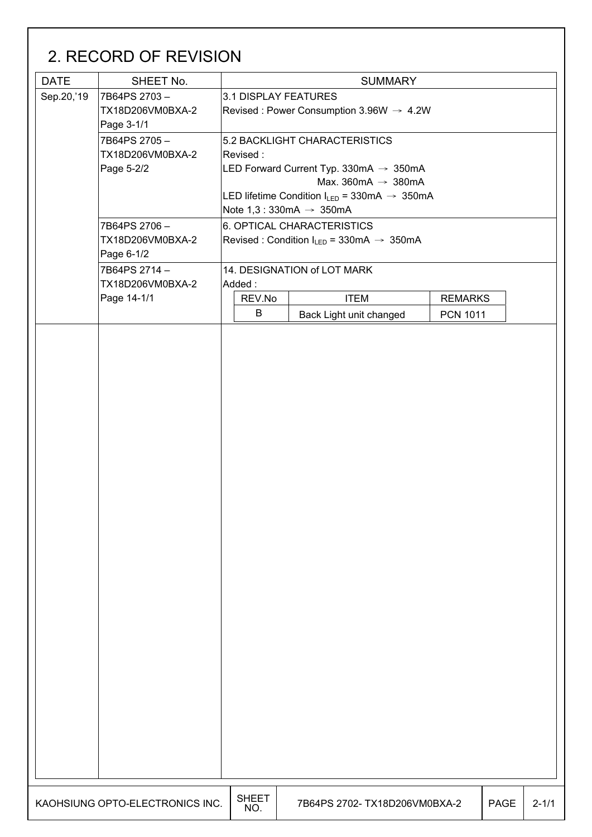# 2. RECORD OF REVISION

| <b>DATE</b>                                        | SHEET No.                       |                                                     |                     |  | <b>SUMMARY</b>                                                                                   |                 |             |           |
|----------------------------------------------------|---------------------------------|-----------------------------------------------------|---------------------|--|--------------------------------------------------------------------------------------------------|-----------------|-------------|-----------|
| Sep.20,'19<br>7B64PS 2703-<br>3.1 DISPLAY FEATURES |                                 |                                                     |                     |  |                                                                                                  |                 |             |           |
|                                                    | TX18D206VM0BXA-2<br>Page 3-1/1  | Revised: Power Consumption $3.96W \rightarrow 4.2W$ |                     |  |                                                                                                  |                 |             |           |
|                                                    | 7B64PS 2705-                    |                                                     |                     |  | 5.2 BACKLIGHT CHARACTERISTICS                                                                    |                 |             |           |
|                                                    | TX18D206VM0BXA-2                |                                                     | Revised:            |  |                                                                                                  |                 |             |           |
|                                                    | Page 5-2/2                      |                                                     |                     |  | LED Forward Current Typ. 330mA $\rightarrow$ 350mA                                               |                 |             |           |
|                                                    |                                 |                                                     |                     |  | Max. 360mA $\rightarrow$ 380mA                                                                   |                 |             |           |
|                                                    |                                 |                                                     |                     |  | LED lifetime Condition $I_{LED} = 330mA \rightarrow 350mA$<br>Note $1,3:330mA \rightarrow 350mA$ |                 |             |           |
|                                                    | 7B64PS 2706-                    |                                                     |                     |  | 6. OPTICAL CHARACTERISTICS                                                                       |                 |             |           |
|                                                    | TX18D206VM0BXA-2<br>Page 6-1/2  |                                                     |                     |  | Revised: Condition $I_{LED} = 330mA \rightarrow 350mA$                                           |                 |             |           |
|                                                    | 7B64PS 2714-                    |                                                     |                     |  | 14. DESIGNATION of LOT MARK                                                                      |                 |             |           |
|                                                    | TX18D206VM0BXA-2                |                                                     | Added:              |  |                                                                                                  |                 |             |           |
|                                                    | Page 14-1/1                     |                                                     | REV.No<br>B         |  | <b>ITEM</b>                                                                                      | <b>REMARKS</b>  |             |           |
|                                                    |                                 |                                                     |                     |  | Back Light unit changed                                                                          | <b>PCN 1011</b> |             |           |
|                                                    |                                 |                                                     |                     |  |                                                                                                  |                 |             |           |
|                                                    | KAOHSIUNG OPTO-ELECTRONICS INC. |                                                     | <b>SHEET</b><br>NO. |  | 7B64PS 2702- TX18D206VM0BXA-2                                                                    |                 | <b>PAGE</b> | $2 - 1/1$ |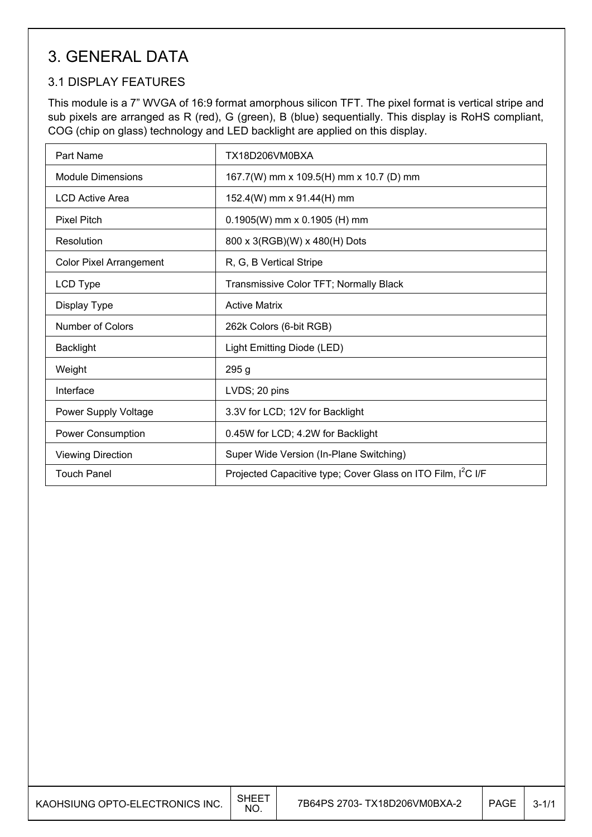# 3. GENERAL DATA

## 3.1 DISPLAY FEATURES

 $\mathsf{I}$ 

This module is a 7" WVGA of 16:9 format amorphous silicon TFT. The pixel format is vertical stripe and sub pixels are arranged as R (red), G (green), B (blue) sequentially. This display is RoHS compliant, COG (chip on glass) technology and LED backlight are applied on this display.

| Part Name                      | TX18D206VM0BXA                                                           |
|--------------------------------|--------------------------------------------------------------------------|
| <b>Module Dimensions</b>       | 167.7(W) mm x 109.5(H) mm x 10.7 (D) mm                                  |
| <b>LCD Active Area</b>         | 152.4(W) mm x 91.44(H) mm                                                |
| <b>Pixel Pitch</b>             | $0.1905(W)$ mm x 0.1905 (H) mm                                           |
| Resolution                     | 800 x 3(RGB)(W) x 480(H) Dots                                            |
| <b>Color Pixel Arrangement</b> | R, G, B Vertical Stripe                                                  |
| LCD Type                       | Transmissive Color TFT; Normally Black                                   |
| Display Type                   | <b>Active Matrix</b>                                                     |
| <b>Number of Colors</b>        | 262k Colors (6-bit RGB)                                                  |
| <b>Backlight</b>               | Light Emitting Diode (LED)                                               |
| Weight                         | 295 g                                                                    |
| Interface                      | LVDS; 20 pins                                                            |
| <b>Power Supply Voltage</b>    | 3.3V for LCD; 12V for Backlight                                          |
| <b>Power Consumption</b>       | 0.45W for LCD; 4.2W for Backlight                                        |
| <b>Viewing Direction</b>       | Super Wide Version (In-Plane Switching)                                  |
| <b>Touch Panel</b>             | Projected Capacitive type; Cover Glass on ITO Film, I <sup>2</sup> C I/F |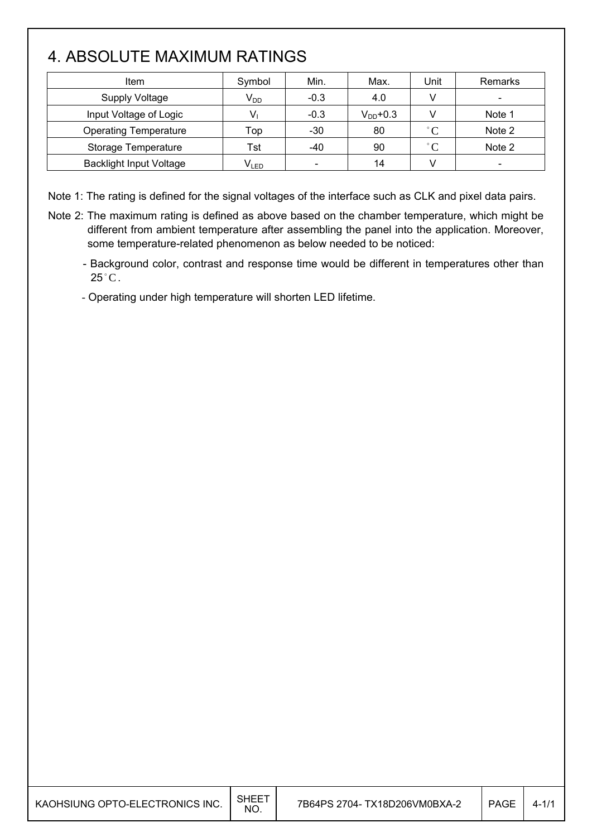# 4. ABSOLUTE MAXIMUM RATINGS

| Item                           | Symbol    | Min.                     | Max.          | Unit         | Remarks                  |
|--------------------------------|-----------|--------------------------|---------------|--------------|--------------------------|
| <b>Supply Voltage</b>          | $V_{DD}$  | $-0.3$                   | 4.0           | v            | $\overline{\phantom{a}}$ |
| Input Voltage of Logic         |           | $-0.3$                   | $V_{DD}$ +0.3 |              | Note 1                   |
| <b>Operating Temperature</b>   | Top       | $-30$                    | 80            | $\degree$ C  | Note 2                   |
| Storage Temperature            | Tst       | -40                      | 90            | $^{\circ}$ C | Note 2                   |
| <b>Backlight Input Voltage</b> | $V_{LED}$ | $\overline{\phantom{0}}$ | 14            |              | $\overline{\phantom{0}}$ |

Note 1: The rating is defined for the signal voltages of the interface such as CLK and pixel data pairs.

- Note 2: The maximum rating is defined as above based on the chamber temperature, which might be different from ambient temperature after assembling the panel into the application. Moreover, some temperature-related phenomenon as below needed to be noticed:
	- Background color, contrast and response time would be different in temperatures other than  $25^{\circ}$ C.
	- Operating under high temperature will shorten LED lifetime.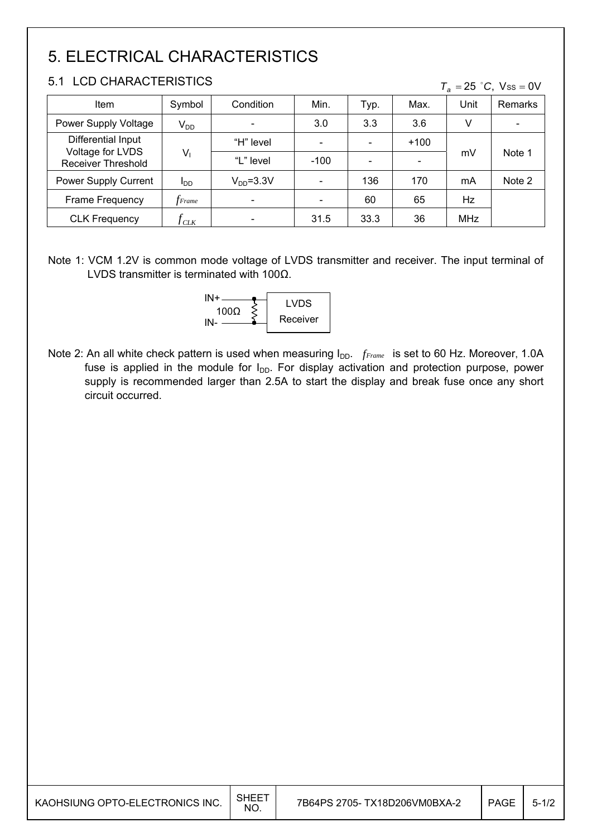# 5. ELECTRICAL CHARACTERISTICS

## 5.1 LCD CHARACTERISTICS

| D. T. LUD UHARAU I ERISTIUS.                                        |                            |                          |        |      |        |            | $T_a = 25$ °C, $V_{SS} = 0V$ |
|---------------------------------------------------------------------|----------------------------|--------------------------|--------|------|--------|------------|------------------------------|
| <b>Item</b>                                                         | Symbol                     | Condition                | Min.   | Typ. | Max.   | Unit       | <b>Remarks</b>               |
| Power Supply Voltage                                                | $\mathsf{V}_{\mathsf{DD}}$ | $\overline{\phantom{a}}$ | 3.0    | 3.3  | 3.6    | v          | $\overline{\phantom{a}}$     |
| Differential Input<br>Voltage for LVDS<br><b>Receiver Threshold</b> | $V_1$                      | "H" level                |        |      | $+100$ | mV         | Note 1                       |
|                                                                     |                            | "L" level                | $-100$ |      |        |            |                              |
| Power Supply Current                                                | <b>I</b> <sub>DD</sub>     | $V_{DD} = 3.3V$          |        | 136  | 170    | mA         | Note 2                       |
| Frame Frequency                                                     | $f_{Frame}$                | $\overline{\phantom{a}}$ |        | 60   | 65     | Hz         |                              |
| <b>CLK Frequency</b>                                                | $f_{\text{CLK}}$           |                          | 31.5   | 33.3 | 36     | <b>MHz</b> |                              |

Note 1: VCM 1.2V is common mode voltage of LVDS transmitter and receiver. The input terminal of LVDS transmitter is terminated with 100Ω.



Note 2: An all white check pattern is used when measuring I<sub>DD</sub>. *fFrame* is set to 60 Hz. Moreover, 1.0A fuse is applied in the module for  $I_{DD}$ . For display activation and protection purpose, power supply is recommended larger than 2.5A to start the display and break fuse once any short circuit occurred.

| KAOHSIUNG OPTO-ELECTRONICS INC. | SHEET<br>NO. | 7B64PS 2705-<br>TX18D206VM0BXA-2 | <b>PAGE</b> | ו -כ |
|---------------------------------|--------------|----------------------------------|-------------|------|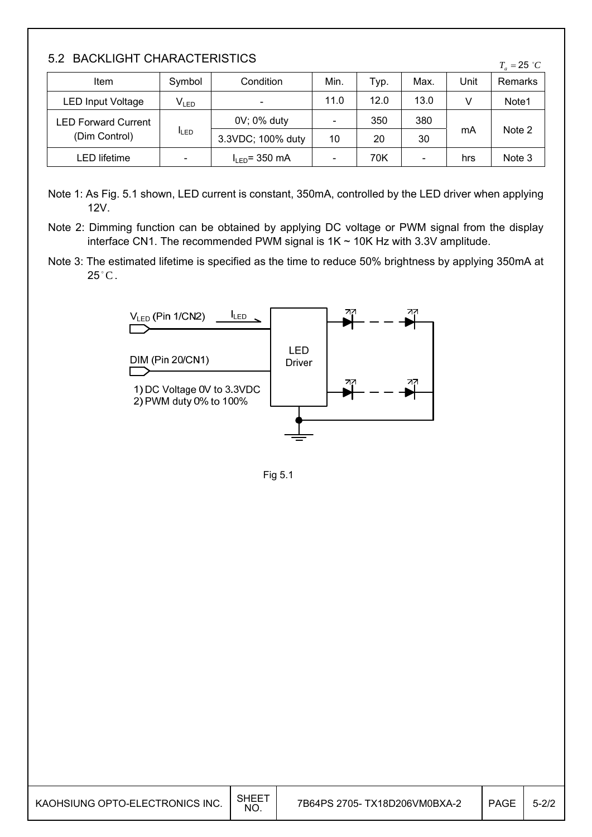| 5.2 BACKLIGHT CHARACTERISTICS<br>$T_a = 25 °C$ |             |                    |      |      |                          |      |         |
|------------------------------------------------|-------------|--------------------|------|------|--------------------------|------|---------|
| Item                                           | Symbol      | Condition          | Min. | Typ. | Max.                     | Unit | Remarks |
| <b>LED Input Voltage</b>                       | VLED        |                    | 11.0 | 12.0 | 13.0                     | V    | Note1   |
| <b>LED Forward Current</b>                     |             |                    |      | 350  | 380                      |      |         |
| (Dim Control)                                  | <b>ILED</b> | 3.3VDC; 100% duty  | 10   | 20   | 30                       | mA   | Note 2  |
| <b>LED</b> lifetime                            |             | $I_{LED}$ = 350 mA |      | 70K  | $\overline{\phantom{a}}$ | hrs  | Note 3  |

Note 1: As Fig. 5.1 shown, LED current is constant, 350mA, controlled by the LED driver when applying 12V.

- Note 2: Dimming function can be obtained by applying DC voltage or PWM signal from the display interface CN1. The recommended PWM signal is  $1K \sim 10K$  Hz with 3.3V amplitude.
- Note 3: The estimated lifetime is specified as the time to reduce 50% brightness by applying 350mA at  $25^{\circ}$ C.



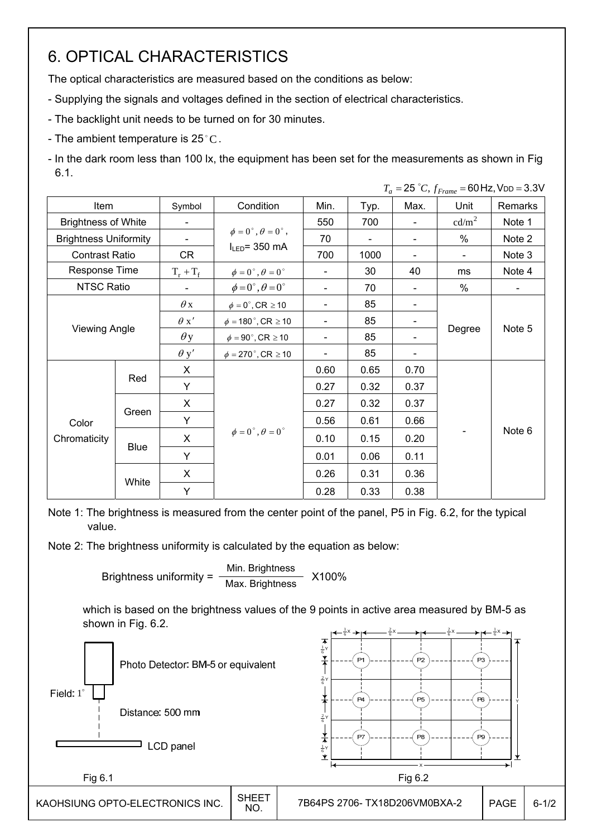# 6. OPTICAL CHARACTERISTICS

The optical characteristics are measured based on the conditions as below:

- Supplying the signals and voltages defined in the section of electrical characteristics.

- The backlight unit needs to be turned on for 30 minutes.

- The ambient temperature is 25 $^{\circ}$ C.

I

- In the dark room less than 100 lx, the equipment has been set for the measurements as shown in Fig 6.1.

|                              |             |             |                                         |                          |      |      | $I_a = 20$ C, $J_{Frame} = 00112$ , $V_{DD} = 0.08$ |                |
|------------------------------|-------------|-------------|-----------------------------------------|--------------------------|------|------|-----------------------------------------------------|----------------|
| Item                         |             | Symbol      | Condition                               | Min.                     | Typ. | Max. | Unit                                                | Remarks        |
| <b>Brightness of White</b>   |             |             |                                         | 550                      | 700  |      | cd/m <sup>2</sup>                                   | Note 1         |
| <b>Brightness Uniformity</b> |             |             | $\phi = 0^{\circ}, \theta = 0^{\circ},$ | 70                       |      |      | %                                                   | Note 2         |
| <b>Contrast Ratio</b>        |             | CR          | $I_{LED}$ = 350 mA                      | 700                      | 1000 |      | $\overline{\phantom{a}}$                            | Note 3         |
| Response Time                |             | $T_r + T_f$ | $\phi = 0^\circ$ , $\theta = 0^\circ$   |                          | 30   | 40   | ms                                                  | Note 4         |
| <b>NTSC Ratio</b>            |             |             | $\phi = 0^{\circ}, \theta = 0^{\circ}$  | $\overline{\phantom{0}}$ | 70   |      | %                                                   | $\blacksquare$ |
|                              |             | $\theta$ x  | $\phi = 0^\circ$ , CR $\geq 10$         |                          | 85   |      |                                                     |                |
|                              |             | $\theta x'$ | $\phi = 180^\circ$ , CR $\geq 10$       |                          | 85   |      |                                                     |                |
| <b>Viewing Angle</b>         |             | $\theta$ y  | $\phi = 90^\circ$ , CR $\geq 10$        |                          | 85   |      | Degree                                              | Note 5         |
|                              |             |             | $\phi = 270$ °, CR $\geq 10$            |                          | 85   |      |                                                     |                |
|                              |             | X           |                                         | 0.60                     | 0.65 | 0.70 |                                                     |                |
|                              | Red         | Y           |                                         | 0.27                     | 0.32 | 0.37 |                                                     |                |
|                              |             | X           |                                         | 0.27                     | 0.32 | 0.37 |                                                     |                |
| Color                        | Green       | Y           |                                         | 0.56                     | 0.61 | 0.66 |                                                     |                |
| Chromaticity                 |             | X           | $\phi = 0^\circ$ , $\theta = 0^\circ$   | 0.10                     | 0.15 | 0.20 | $\overline{\phantom{a}}$                            | Note 6         |
|                              | <b>Blue</b> | Y           |                                         | 0.01                     | 0.06 | 0.11 |                                                     |                |
|                              |             | X           |                                         | 0.26                     | 0.31 | 0.36 |                                                     |                |
|                              | White       | Y           |                                         | 0.28                     | 0.33 | 0.38 |                                                     |                |

Note 1: The brightness is measured from the center point of the panel, P5 in Fig. 6.2, for the typical value.

Note 2: The brightness uniformity is calculated by the equation as below:

Brightness uniformity =  $\frac{\text{Min.~Brighness}}{\text{Min.~Brighness}}$  X100% Max. Brightness

which is based on the brightness values of the 9 points in active area measured by BM-5 as shown in Fig. 6.2. 2 1 1



 $T = 25 \degree C$ , *f<sub>Frame</sub>*  $= 60$ Hz, V<sub>DD</sub>  $= 3.3$ V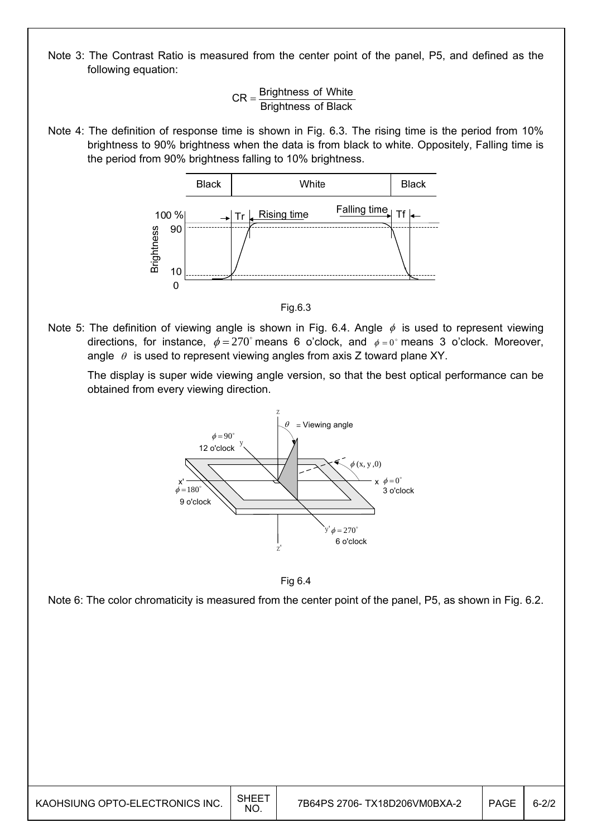Note 3: The Contrast Ratio is measured from the center point of the panel, P5, and defined as the following equation:

> Brightness of Black  $CR =$ Brightness of White

Note 4: The definition of response time is shown in Fig. 6.3. The rising time is the period from 10% brightness to 90% brightness when the data is from black to white. Oppositely, Falling time is the period from 90% brightness falling to 10% brightness.





Note 5: The definition of viewing angle is shown in Fig. 6.4. Angle  $\phi$  is used to represent viewing directions, for instance,  $\phi = 270^{\circ}$  means 6 o'clock, and  $\phi = 0^{\circ}$  means 3 o'clock. Moreover, angle  $\theta$  is used to represent viewing angles from axis Z toward plane XY.

 The display is super wide viewing angle version, so that the best optical performance can be obtained from every viewing direction.



Fig 6.4

Note 6: The color chromaticity is measured from the center point of the panel, P5, as shown in Fig. 6.2.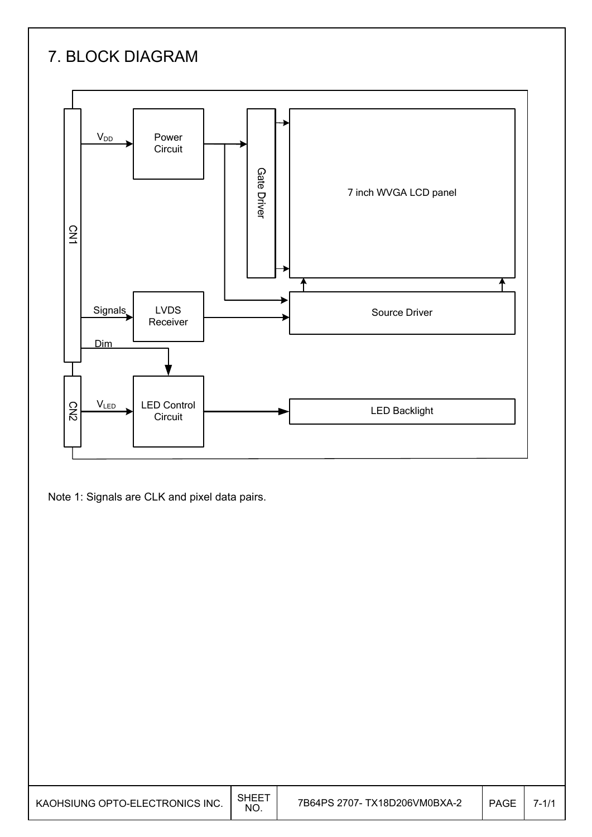# 7. BLOCK DIAGRAM



Note 1: Signals are CLK and pixel data pairs.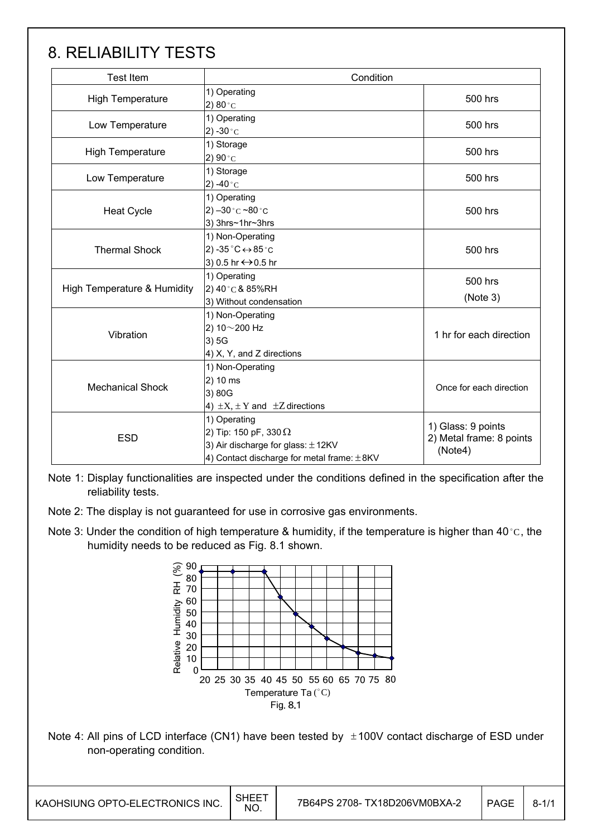# 8. RELIABILITY TESTS

| <b>Test Item</b>            | Condition                                                                                                                            |                                                           |  |  |  |
|-----------------------------|--------------------------------------------------------------------------------------------------------------------------------------|-----------------------------------------------------------|--|--|--|
| <b>High Temperature</b>     | 1) Operating<br>2) $80^{\circ}$ C                                                                                                    | 500 hrs                                                   |  |  |  |
| Low Temperature             | 1) Operating<br>2) -30 $^{\circ}$ C                                                                                                  | 500 hrs                                                   |  |  |  |
| <b>High Temperature</b>     | 1) Storage<br>2) $90^{\circ}$ C                                                                                                      | 500 hrs                                                   |  |  |  |
| Low Temperature             | 1) Storage<br>2) -40 $^{\circ}$ C                                                                                                    | 500 hrs                                                   |  |  |  |
| <b>Heat Cycle</b>           | 1) Operating<br>2) $-30$ °C $-80$ °C<br>3) 3hrs~1hr~3hrs                                                                             | 500 hrs                                                   |  |  |  |
| <b>Thermal Shock</b>        | 1) Non-Operating<br>2) -35 $^{\circ}$ C $\leftrightarrow$ 85 $^{\circ}$ C<br>3) 0.5 hr ↔ 0.5 hr                                      | 500 hrs                                                   |  |  |  |
| High Temperature & Humidity | 1) Operating<br>2) 40°C & 85%RH<br>3) Without condensation                                                                           | 500 hrs<br>(Note 3)                                       |  |  |  |
| Vibration                   | 1) Non-Operating<br>2) $10 - 200$ Hz<br>3) 5G<br>4) X, Y, and Z directions                                                           | 1 hr for each direction                                   |  |  |  |
| <b>Mechanical Shock</b>     | 1) Non-Operating<br>2) 10 ms<br>3) 80G<br>4) $\pm X$ , $\pm Y$ and $\pm Z$ directions                                                | Once for each direction                                   |  |  |  |
| <b>ESD</b>                  | 1) Operating<br>2) Tip: 150 pF, 330 $\Omega$<br>3) Air discharge for glass: $\pm$ 12KV<br>4) Contact discharge for metal frame: ±8KV | 1) Glass: 9 points<br>2) Metal frame: 8 points<br>(Note4) |  |  |  |

Note 1: Display functionalities are inspected under the conditions defined in the specification after the reliability tests.

- Note 2: The display is not guaranteed for use in corrosive gas environments.
- Note 3: Under the condition of high temperature & humidity, if the temperature is higher than 40 °C, the humidity needs to be reduced as Fig. 8.1 shown.



Note 4: All pins of LCD interface (CN1) have been tested by  $\pm 100V$  contact discharge of ESD under non-operating condition.

| KAOHSIUNG OPTO-ELECTRONICS INC. | SHEE <sup>.</sup><br>NO. | 7B64PS 2708- TX18D206VM0BXA-2 | <b>PAGE</b> | $8 - 1/$ |
|---------------------------------|--------------------------|-------------------------------|-------------|----------|
|---------------------------------|--------------------------|-------------------------------|-------------|----------|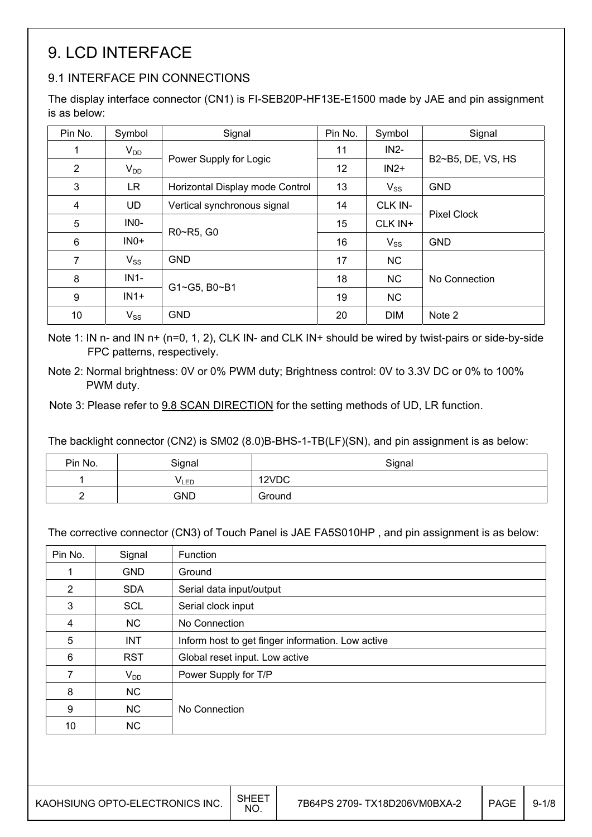# 9. LCD INTERFACE

## 9.1 INTERFACE PIN CONNECTIONS

The display interface connector (CN1) is FI-SEB20P-HF13E-E1500 made by JAE and pin assignment is as below:

| Pin No.        | Symbol            | Signal                          | Pin No. | Symbol     | Signal             |
|----------------|-------------------|---------------------------------|---------|------------|--------------------|
|                | $V_{DD}$          |                                 | 11      | $IN2-$     |                    |
| $\overline{2}$ | $V_{DD}$          | Power Supply for Logic          | 12      | $IN2+$     | B2~B5, DE, VS, HS  |
| 3              | LR.               | Horizontal Display mode Control | 13      | $V_{SS}$   | <b>GND</b>         |
| 4              | <b>UD</b>         | Vertical synchronous signal     | 14      | CLK IN-    |                    |
| 5              | IN <sub>0</sub> - |                                 | 15      | CLK IN+    | <b>Pixel Clock</b> |
| 6              | $INO+$            | R0~R5, G0                       | 16      | $V_{SS}$   | <b>GND</b>         |
| 7              | $V_{SS}$          | <b>GND</b>                      | 17      | <b>NC</b>  |                    |
| 8              | $IN1-$            |                                 | 18      | <b>NC</b>  | No Connection      |
| 9              | $IN1+$            | G1~G5, B0~B1                    | 19      | <b>NC</b>  |                    |
| 10             | $V_{SS}$          | <b>GND</b>                      | 20      | <b>DIM</b> | Note 2             |

Note 1: IN n- and IN n+ (n=0, 1, 2), CLK IN- and CLK IN+ should be wired by twist-pairs or side-by-side FPC patterns, respectively.

Note 3: Please refer to 9.8 SCAN DIRECTION for the setting methods of UD, LR function.

The backlight connector (CN2) is SM02 (8.0)B-BHS-1-TB(LF)(SN), and pin assignment is as below:

| Pin No. | Signal | Signal |
|---------|--------|--------|
|         | VLED   | 12VDC  |
|         | GND    | Ground |

The corrective connector (CN3) of Touch Panel is JAE FA5S010HP , and pin assignment is as below:

| Pin No.        | Signal     | Function                                          |  |  |  |
|----------------|------------|---------------------------------------------------|--|--|--|
|                | <b>GND</b> | Ground                                            |  |  |  |
| $\overline{2}$ | <b>SDA</b> | Serial data input/output                          |  |  |  |
| 3              | <b>SCL</b> | Serial clock input                                |  |  |  |
| 4              | <b>NC</b>  | No Connection                                     |  |  |  |
| 5              | <b>INT</b> | Inform host to get finger information. Low active |  |  |  |
| 6              | <b>RST</b> | Global reset input. Low active                    |  |  |  |
| $\overline{7}$ | $V_{DD}$   | Power Supply for T/P                              |  |  |  |
| 8              | <b>NC</b>  |                                                   |  |  |  |
| 9              | <b>NC</b>  | No Connection                                     |  |  |  |
| 10             | <b>NC</b>  |                                                   |  |  |  |

Note 2: Normal brightness: 0V or 0% PWM duty; Brightness control: 0V to 3.3V DC or 0% to 100% PWM duty.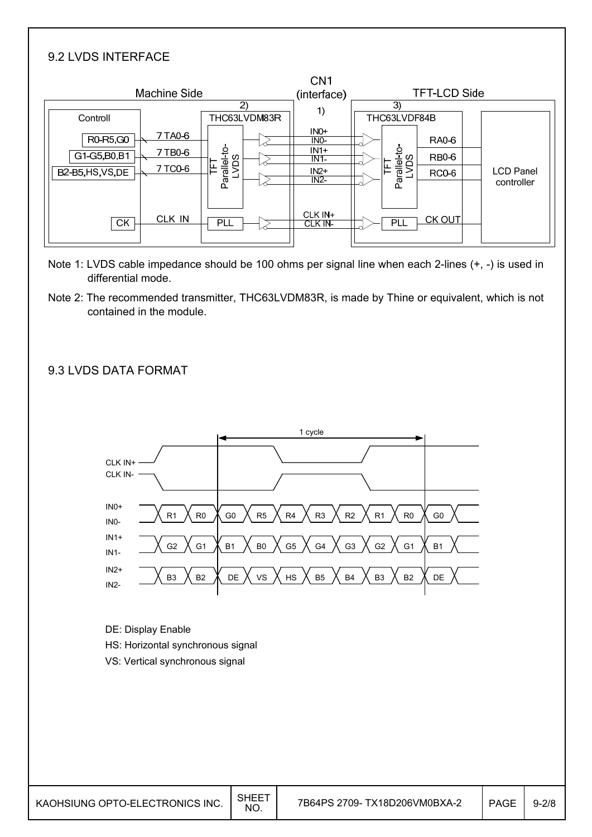## 9.2 LVDS INTERFACE

|                                  | Machine Side       |                         |              | CN <sub>1</sub><br>(interface) |                    | <b>TFT-LCD Side</b>          |                  |
|----------------------------------|--------------------|-------------------------|--------------|--------------------------------|--------------------|------------------------------|------------------|
| Controll                         |                    | $\mathbf{2}$            | THC63LVDM83R | 1)<br>$INO+$                   | 3)<br>THC63LVDF84B |                              |                  |
| R0-R5,G0                         | 7 TA0-6<br>7 TB0-6 |                         |              | INO-<br>$IN1+$                 |                    | <b>RA0-6</b>                 |                  |
| G1-G5,B0,B1<br>B2-B5, HS, VS, DE | 7 TC0-6            | Parallel-to-<br>SQ<br>但 |              | $IN1-$<br>$IN2+$               | rallel-to-<br>VDS  | <b>RB0-6</b><br><b>RC0-6</b> | <b>LCD Panel</b> |
| <b>CK</b>                        | CLK IN             | <b>PLL</b>              |              | $IN2-$<br>CLK IN+<br>CLK IN-   | а<br>А<br>PLL      | CK OUT                       | controller       |
|                                  |                    |                         |              |                                |                    |                              |                  |

- Note 1: LVDS cable impedance should be 100 ohms per signal line when each 2-lines (+, -) is used in differential mode.
- Note 2: The recommended transmitter, THC63LVDM83R, is made by Thine or equivalent, which is not contained in the module.

### 9.3 LVDS DATA FORMAT



DE: Display Enable

- HS: Horizontal synchronous signal
- VS: Vertical synchronous signal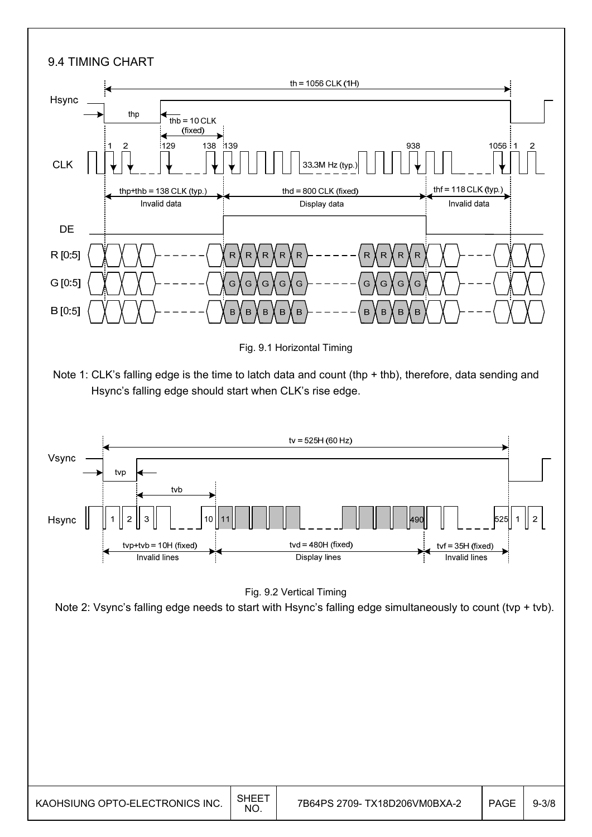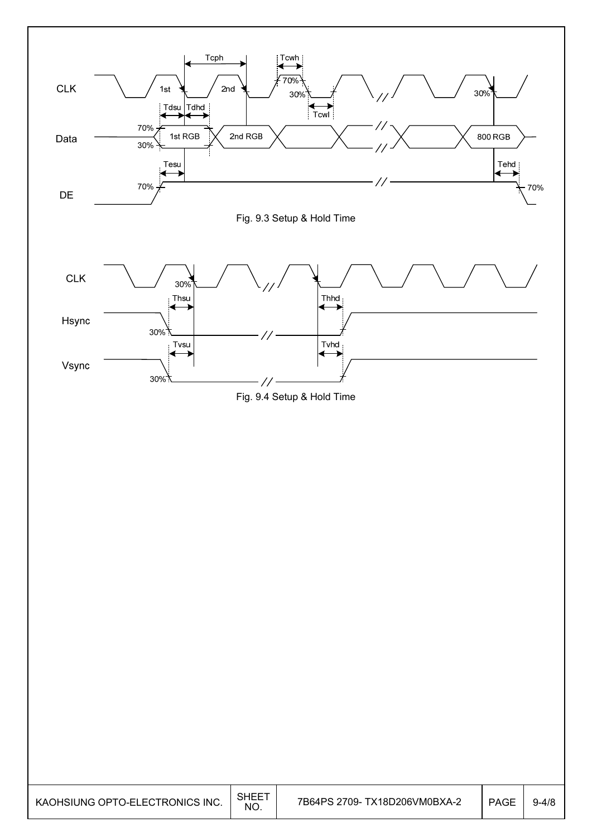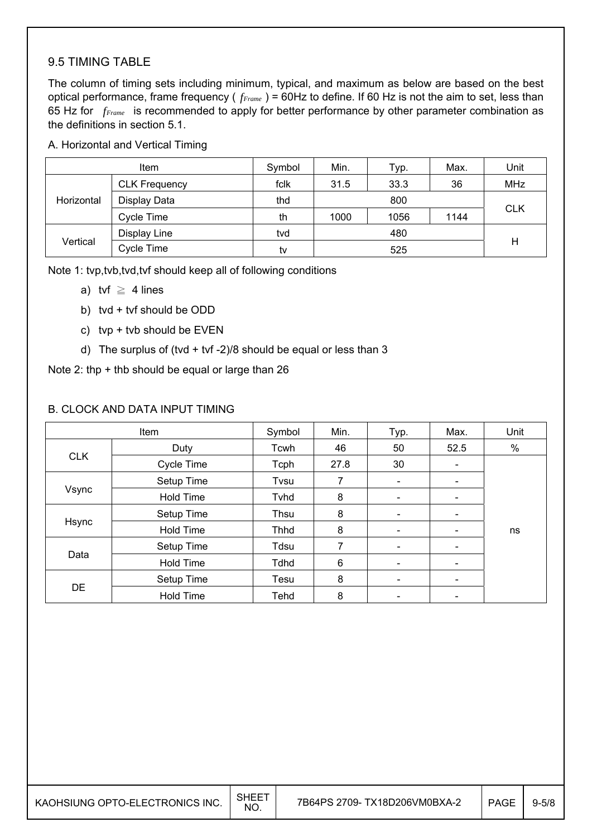### 9.5 TIMING TABLE

The column of timing sets including minimum, typical, and maximum as below are based on the best optical performance, frame frequency ( *fFrame* ) = 60Hz to define. If 60 Hz is not the aim to set, less than 65 Hz for *fFrame* is recommended to apply for better performance by other parameter combination as the definitions in section 5.1.

A. Horizontal and Vertical Timing

|            | <b>Item</b>          | Symbol | Min. | Typ. | Max. | Unit       |
|------------|----------------------|--------|------|------|------|------------|
|            | <b>CLK Frequency</b> | fclk   | 31.5 | 33.3 | 36   | MHz        |
| Horizontal | Display Data         | thd    |      |      |      |            |
|            | Cycle Time           | th     | 1000 | 1056 | 1144 | <b>CLK</b> |
|            | Display Line         | tvd    | 480  |      |      |            |
| Vertical   | Cycle Time           | tv     |      | н    |      |            |

Note 1: tvp,tvb,tvd,tvf should keep all of following conditions

- a) tvf  $\geq$  4 lines
- b) tvd + tvf should be ODD
- c)  $typ + tvb$  should be EVEN
- d) The surplus of (tvd + tvf -2)/8 should be equal or less than 3

Note 2: thp + thb should be equal or large than 26

### B. CLOCK AND DATA INPUT TIMING

| Item       |                  | Symbol      | Min.  | Typ.                     | Max.                     | Unit |
|------------|------------------|-------------|-------|--------------------------|--------------------------|------|
|            | Duty             | Tcwh        | 46    | 50                       | 52.5                     | $\%$ |
| <b>CLK</b> | Cycle Time       | Tcph        | 27.8  | 30                       | $\overline{\phantom{a}}$ |      |
|            | Setup Time       | Tvsu        | 7     | $\overline{\phantom{a}}$ | $\overline{\phantom{a}}$ |      |
| Vsync      | <b>Hold Time</b> | Tyhd        | 8     | $\overline{\phantom{a}}$ |                          |      |
|            | Setup Time       | Thsu        | 8     | $\overline{\phantom{0}}$ |                          |      |
| Hsync      | <b>Hold Time</b> | Thhd        | 8     | $\overline{\phantom{a}}$ | $\overline{\phantom{a}}$ | ns   |
|            | Setup Time       | Tdsu        | 7     | $\overline{\phantom{a}}$ | $\overline{\phantom{0}}$ |      |
| Data       | <b>Hold Time</b> | <b>Tdhd</b> | $\,6$ | $\overline{\phantom{a}}$ |                          |      |
|            | Setup Time       | Tesu        | 8     | $\overline{\phantom{a}}$ |                          |      |
| DE         | <b>Hold Time</b> | Tehd        | 8     | $\overline{\phantom{0}}$ |                          |      |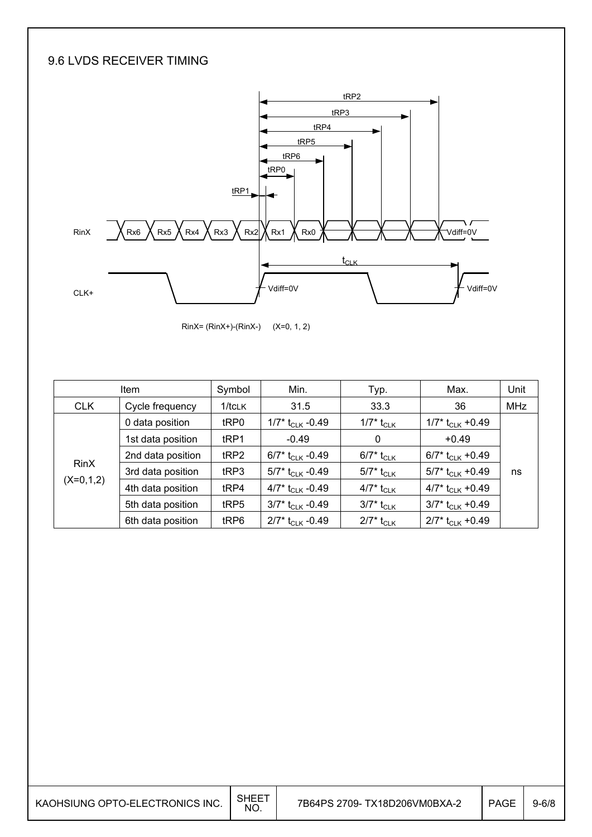## 9.6 LVDS RECEIVER TIMING



RinX= (RinX+)-(RinX-) (X=0, 1, 2)

| <b>Item</b> |                   | Symbol    | Min.                           | Typ.                     | Max.                           | Unit       |
|-------------|-------------------|-----------|--------------------------------|--------------------------|--------------------------------|------------|
| <b>CLK</b>  | Cycle frequency   | $1/t$ CLK | 31.5                           | 33.3                     | 36                             | <b>MHz</b> |
|             | 0 data position   | tRP0      | 1/7* $t_{CLK}$ -0.49           | 1/7* t <sub>CLK</sub>    | 1/7* $t_{CLK}$ +0.49           |            |
|             | 1st data position | tRP1      | $-0.49$                        | $\mathbf{0}$             | $+0.49$                        |            |
|             | 2nd data position | tRP2      | 6/7* $t_{CLK}$ -0.49           | 6/7* t <sub>CLK</sub>    | 6/7* t <sub>CLK</sub> +0.49    |            |
| <b>RinX</b> | 3rd data position | tRP3      | 5/7* $t_{CLK}$ -0.49           | $5/7^*$ t <sub>CLK</sub> | 5/7* t <sub>CLK</sub> +0.49    | ns         |
| $(X=0,1,2)$ | 4th data position | tRP4      | 4/7* $t_{CLK}$ -0.49           | 4/7* t <sub>CLK</sub>    | 4/7* t <sub>CLK</sub> +0.49    |            |
|             | 5th data position | tRP5      | $3/7$ * t <sub>CLK</sub> -0.49 | 3/7* t <sub>CLK</sub>    | $3/7$ * t <sub>CLK</sub> +0.49 |            |
|             | 6th data position | tRP6      | $2/7$ * t <sub>CLK</sub> -0.49 | $2/7^*$ t <sub>CLK</sub> | $2/7$ * t <sub>CLK</sub> +0.49 |            |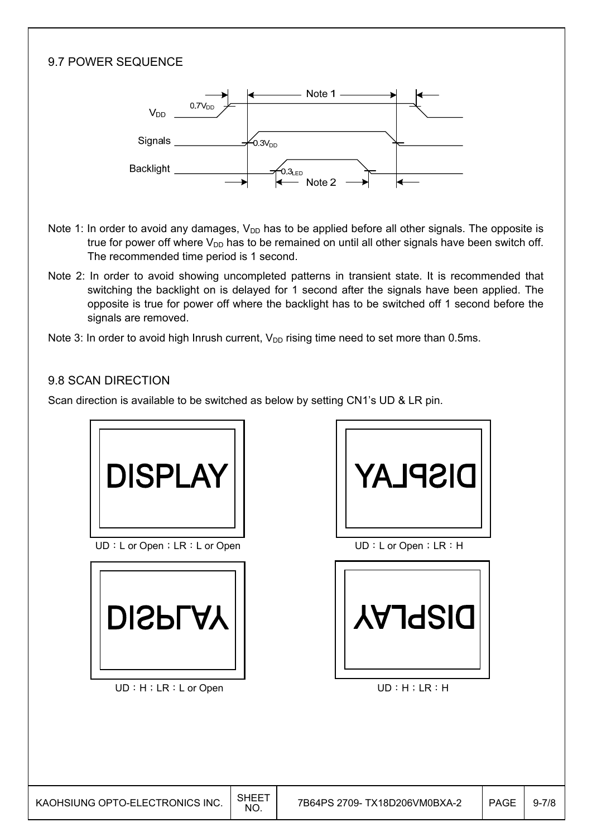

Note 2: In order to avoid showing uncompleted patterns in transient state. It is recommended that switching the backlight on is delayed for 1 second after the signals have been applied. The opposite is true for power off where the backlight has to be switched off 1 second before the signals are removed.

Note 3: In order to avoid high Inrush current,  $V_{DD}$  rising time need to set more than 0.5ms.

### 9.8 SCAN DIRECTION

Scan direction is available to be switched as below by setting CN1's UD & LR pin.



UD: L or Open; LR: L or Open  $UD: L$  or Open; LR: H



UD: H; LR: L or Open UD: H; LR: H

 $\overline{\phantom{a}}$ 





| KAOHSIUNG OPTO-ELECTRONICS INC. | SHEET<br>NO. | 7B64PS 2709- TX18D206VM0BXA-2 | <b>PAGE</b> | $9 - 7/8$ |
|---------------------------------|--------------|-------------------------------|-------------|-----------|
|---------------------------------|--------------|-------------------------------|-------------|-----------|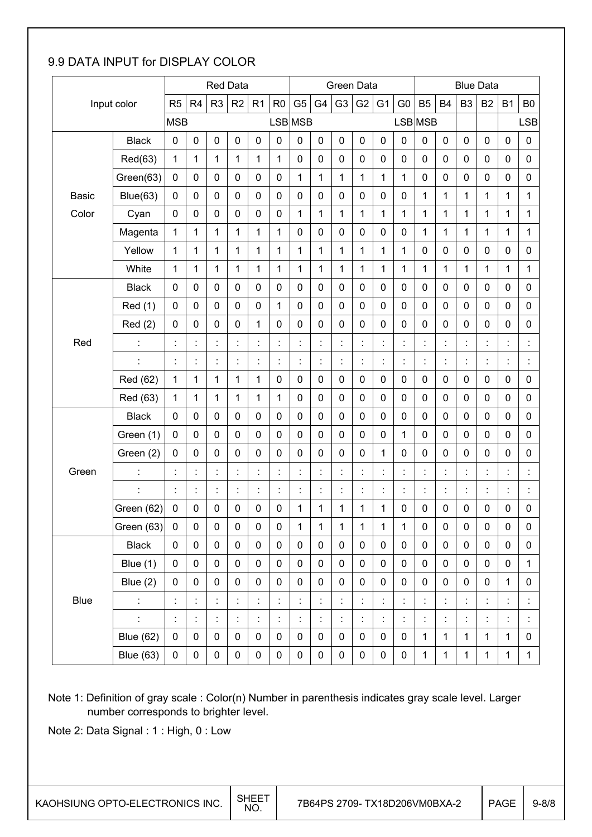## 9.9 DATA INPUT for DISPLAY COLOR

|              |                      |                |                | <b>Red Data</b>      |                |                      |                      |                      |                      |                | Green Data           |                      |                      |                |              | <b>Blue Data</b>     |                      |                |                      |
|--------------|----------------------|----------------|----------------|----------------------|----------------|----------------------|----------------------|----------------------|----------------------|----------------|----------------------|----------------------|----------------------|----------------|--------------|----------------------|----------------------|----------------|----------------------|
|              | Input color          | R <sub>5</sub> | R <sub>4</sub> | R <sub>3</sub>       | R2             | R <sub>1</sub>       | R <sub>0</sub>       | G <sub>5</sub>       | G4                   | G <sub>3</sub> | G <sub>2</sub>       | G <sub>1</sub>       | G <sub>0</sub>       | B <sub>5</sub> | <b>B4</b>    | B <sub>3</sub>       | B <sub>2</sub>       | <b>B1</b>      | B <sub>0</sub>       |
|              |                      |                | <b>MSB</b>     |                      |                |                      | LSB MSB              |                      |                      |                |                      |                      |                      | LSB MSB        |              |                      |                      |                | <b>LSB</b>           |
|              | <b>Black</b>         | $\mathbf 0$    | $\pmb{0}$      | 0                    | 0              | $\mathbf 0$          | $\mathbf 0$          | $\mathbf 0$          | 0                    | $\pmb{0}$      | 0                    | $\mathbf 0$          | 0                    | $\mathbf 0$    | 0            | 0                    | $\mathbf 0$          | 0              | $\mathbf 0$          |
|              | Red(63)              | $\mathbf{1}$   | 1              | 1                    | $\mathbf{1}$   | 1                    | $\mathbf{1}$         | 0                    | 0                    | $\pmb{0}$      | 0                    | $\mathbf 0$          | 0                    | $\mathbf 0$    | $\mathbf 0$  | 0                    | $\mathbf 0$          | 0              | $\mathbf 0$          |
|              | Green(63)            | $\mathbf 0$    | 0              | 0                    | $\mathbf 0$    | 0                    | 0                    | $\mathbf{1}$         | 1                    | $\mathbf{1}$   | 1                    | 1                    | $\mathbf{1}$         | 0              | 0            | 0                    | $\mathbf 0$          | 0              | $\mathbf 0$          |
| <b>Basic</b> | Blue(63)             | $\pmb{0}$      | $\pmb{0}$      | $\mathbf 0$          | $\mathbf 0$    | $\mathbf 0$          | 0                    | 0                    | 0                    | $\pmb{0}$      | 0                    | $\mathbf 0$          | $\pmb{0}$            | 1              | 1            | 1                    | 1                    | 1              | 1                    |
| Color        | Cyan                 | $\mathbf 0$    | $\mathbf 0$    | 0                    | $\mathbf 0$    | $\mathbf 0$          | 0                    | $\mathbf{1}$         | 1                    | 1              | 1                    | 1                    | 1                    | 1              | 1            | 1                    | $\mathbf{1}$         | 1              | 1                    |
|              | Magenta              | 1              | 1              | 1                    | $\mathbf{1}$   | 1                    | 1                    | $\pmb{0}$            | 0                    | $\mathbf 0$    | 0                    | $\mathbf 0$          | $\mathbf 0$          | 1              | $\mathbf{1}$ | 1                    | $\mathbf{1}$         | 1              | 1                    |
|              | Yellow               | $\mathbf{1}$   | $\mathbf{1}$   | 1                    | $\mathbf 1$    | $\mathbf{1}$         | $\mathbf 1$          | $\mathbf{1}$         | 1                    | 1              | 1                    | 1                    | $\mathbf{1}$         | $\mathbf 0$    | $\mathbf 0$  | 0                    | $\mathbf 0$          | $\mathbf 0$    | $\mathbf 0$          |
|              | White                | $\mathbf{1}$   | $\mathbf{1}$   | 1                    | $\mathbf{1}$   | $\mathbf{1}$         | $\mathbf{1}$         | $\mathbf{1}$         | 1                    | 1              | 1                    | 1                    | $\mathbf{1}$         | 1              | $\mathbf{1}$ | 1                    | $\mathbf{1}$         | 1              | 1                    |
|              | <b>Black</b>         | $\mathbf 0$    | $\mathbf 0$    | 0                    | $\mathbf 0$    | $\mathbf 0$          | $\mathbf 0$          | $\mathbf 0$          | $\mathbf 0$          | $\mathbf 0$    | 0                    | $\mathbf 0$          | $\mathbf 0$          | $\mathbf 0$    | $\mathbf 0$  | 0                    | $\mathbf 0$          | $\mathbf 0$    | $\mathbf 0$          |
| Red          | <b>Red</b> (1)       | $\mathbf 0$    | $\mathbf 0$    | 0                    | $\mathbf 0$    | $\mathbf 0$          | $\mathbf{1}$         | $\mathbf 0$          | 0                    | $\mathbf 0$    | 0                    | $\mathbf 0$          | $\mathbf 0$          | $\mathbf 0$    | $\mathbf 0$  | 0                    | $\mathbf 0$          | 0              | $\mathbf 0$          |
|              | Red(2)               | $\mathbf 0$    | $\mathbf 0$    | 0                    | $\mathbf 0$    | 1                    | 0                    | $\mathbf 0$          | $\mathbf 0$          | $\mathbf 0$    | 0                    | $\mathbf 0$          | $\mathbf 0$          | $\mathbf 0$    | $\mathbf 0$  | 0                    | $\mathbf 0$          | 0              | $\mathbf 0$          |
|              |                      | $\ddot{\cdot}$ | t              |                      | t              | $\blacksquare$       | $\ddot{\cdot}$       | ÷,                   | t                    | t              | $\ddot{\phantom{a}}$ | $\ddot{\phantom{a}}$ | $\ddot{\phantom{a}}$ | t              | t.           | t,                   | $\ddot{\cdot}$       | İ              | $\ddot{\phantom{a}}$ |
|              | t                    | $\ddot{\cdot}$ | Ì              | t                    | t              | $\ddot{\cdot}$       | $\ddot{\cdot}$       | $\ddot{\cdot}$       | t                    | $\ddot{\cdot}$ | $\ddot{\cdot}$       | $\ddot{\cdot}$       | $\ddot{\phantom{a}}$ | İ              | t            | t,                   | $\ddot{\phantom{a}}$ | $\ddot{\cdot}$ | $\ddot{\cdot}$       |
|              | Red (62)             | $\mathbf 1$    | 1              | 1                    | $\mathbf{1}$   | 1                    | 0                    | 0                    | 0                    | $\pmb{0}$      | 0                    | $\mathbf 0$          | 0                    | $\mathbf 0$    | 0            | 0                    | $\mathbf 0$          | 0              | $\mathbf 0$          |
|              | Red (63)             | $\mathbf{1}$   | $\mathbf{1}$   | 1                    | $\mathbf{1}$   | 1                    | 1                    | $\pmb{0}$            | 0                    | $\mathbf 0$    | 0                    | $\mathbf 0$          | $\mathbf 0$          | 0              | $\pmb{0}$    | 0                    | $\mathbf 0$          | 0              | $\mathbf 0$          |
|              | <b>Black</b>         | $\mathbf 0$    | $\mathbf 0$    | 0                    | $\mathbf 0$    | 0                    | 0                    | $\mathbf 0$          | 0                    | $\mathbf 0$    | 0                    | $\mathbf 0$          | $\mathbf 0$          | 0              | 0            | 0                    | $\mathbf 0$          | 0              | $\mathbf 0$          |
|              | Green (1)            | $\mathbf 0$    | $\mathbf 0$    | $\mathbf 0$          | $\mathbf 0$    | $\mathbf 0$          | 0                    | $\pmb{0}$            | 0                    | $\pmb{0}$      | 0                    | $\mathbf 0$          | 1                    | $\mathbf 0$    | 0            | 0                    | $\mathbf 0$          | $\mathbf 0$    | $\mathbf 0$          |
|              | Green (2)            | $\mathbf 0$    | $\mathbf 0$    | 0                    | $\mathbf 0$    | $\mathbf 0$          | 0                    | $\mathbf 0$          | 0                    | $\mathbf 0$    | 0                    | 1                    | $\mathbf 0$          | $\mathbf 0$    | 0            | 0                    | $\mathbf 0$          | $\mathbf 0$    | $\mathbf 0$          |
| Green        |                      | $\ddot{\cdot}$ | Ì              |                      | $\ddot{\cdot}$ | $\ddot{\phantom{a}}$ | $\ddot{\cdot}$       | $\ddot{\phantom{a}}$ | $\ddot{\phantom{a}}$ | $\ddot{\cdot}$ | $\ddot{\phantom{a}}$ | $\ddot{\cdot}$       | Ì.                   | İ              | t            | t,                   | $\ddot{\cdot}$       | $\ddot{\cdot}$ | $\ddot{\cdot}$       |
|              | t                    | $\ddot{\cdot}$ | $\ddot{\cdot}$ | t                    | İ              | $\ddot{\phantom{a}}$ | $\ddot{\phantom{a}}$ | $\ddot{\cdot}$       | $\ddot{\cdot}$       | $\ddot{\cdot}$ | $\ddot{\cdot}$       | $\ddot{\cdot}$       | $\ddot{\cdot}$       | $\ddot{\cdot}$ | t,           | $\ddot{\phantom{a}}$ | $\ddot{\phantom{a}}$ | İ              | $\ddot{\cdot}$       |
|              | Green (62)           | 0              | 0              | 0                    | 0              | 0                    | 0                    | 1                    | 1                    | 1              | 1                    | 1                    | 0                    | 0              | $\mathbf 0$  | 0                    | $\mathbf 0$          | 0              | $\mathbf 0$          |
|              | Green $(63)$         | $\pmb{0}$      | $\pmb{0}$      | $\pmb{0}$            | $\pmb{0}$      | $\pmb{0}$            | 0                    | 1                    | 1                    | 1              | 1                    | 1                    | 1                    | $\pmb{0}$      | $\pmb{0}$    | 0                    | $\mathbf 0$          | $\pmb{0}$      | $\pmb{0}$            |
|              | <b>Black</b>         | $\mathbf 0$    | $\pmb{0}$      | $\pmb{0}$            | $\pmb{0}$      | $\mathbf 0$          | $\mathbf 0$          | $\mathbf 0$          | $\pmb{0}$            | $\pmb{0}$      | $\pmb{0}$            | $\pmb{0}$            | $\mathbf 0$          | $\pmb{0}$      | $\mathbf 0$  | 0                    | $\mathbf 0$          | $\mathbf 0$    | $\mathbf 0$          |
|              | Blue $(1)$           | $\pmb{0}$      | 0              | $\pmb{0}$            | $\pmb{0}$      | $\pmb{0}$            | 0                    | $\pmb{0}$            | 0                    | $\pmb{0}$      | $\pmb{0}$            | $\pmb{0}$            | 0                    | 0              | 0            | 0                    | $\pmb{0}$            | 0              | $\mathbf{1}$         |
|              | Blue $(2)$           | $\pmb{0}$      | $\pmb{0}$      | $\pmb{0}$            | $\pmb{0}$      | $\mathbf 0$          | $\mathbf 0$          | $\pmb{0}$            | $\mathbf 0$          | $\pmb{0}$      | 0                    | $\pmb{0}$            | 0                    | $\mathbf 0$    | $\pmb{0}$    | 0                    | $\pmb{0}$            | $\mathbf{1}$   | $\pmb{0}$            |
| <b>Blue</b>  | ÷                    | İ,             | $\ddot{\cdot}$ |                      | $\ddot{\cdot}$ |                      | $\ddot{\cdot}$       | $\ddot{\cdot}$       | $\ddot{\cdot}$       | $\ddot{\cdot}$ | $\ddot{\cdot}$       | $\ddot{\cdot}$       |                      |                | t,           | t,                   | İ,                   |                |                      |
|              | $\ddot{\phantom{a}}$ | $\ddot{\cdot}$ | ÷              | $\ddot{\phantom{a}}$ | ÷              |                      | $\ddot{\cdot}$       | ÷,                   | t,                   | ÷              | $\ddot{\cdot}$       | $\ddot{\cdot}$       | t,                   | t              | Ì,           | t,                   | $\ddot{\cdot}$       | İ,             | $\ddot{\cdot}$       |
|              | <b>Blue (62)</b>     | $\mathbf 0$    | $\pmb{0}$      | $\pmb{0}$            | $\pmb{0}$      | $\pmb{0}$            | 0                    | 0                    | $\pmb{0}$            | $\pmb{0}$      | 0                    | $\pmb{0}$            | 0                    | 1              | $\mathbf{1}$ | 1                    | $\mathbf{1}$         | 1              | $\pmb{0}$            |
|              | <b>Blue (63)</b>     | 0              | $\pmb{0}$      | $\pmb{0}$            | $\pmb{0}$      | $\pmb{0}$            | 0                    | 0                    | 0                    | $\pmb{0}$      | 0                    | $\pmb{0}$            | 0                    | $\mathbf{1}$   | $\mathbf{1}$ | $\mathbf{1}$         | $\mathbf 1$          | $\mathbf{1}$   | $\mathbf{1}$         |

Note 1: Definition of gray scale : Color(n) Number in parenthesis indicates gray scale level. Larger number corresponds to brighter level.

Note 2: Data Signal : 1 : High, 0 : Low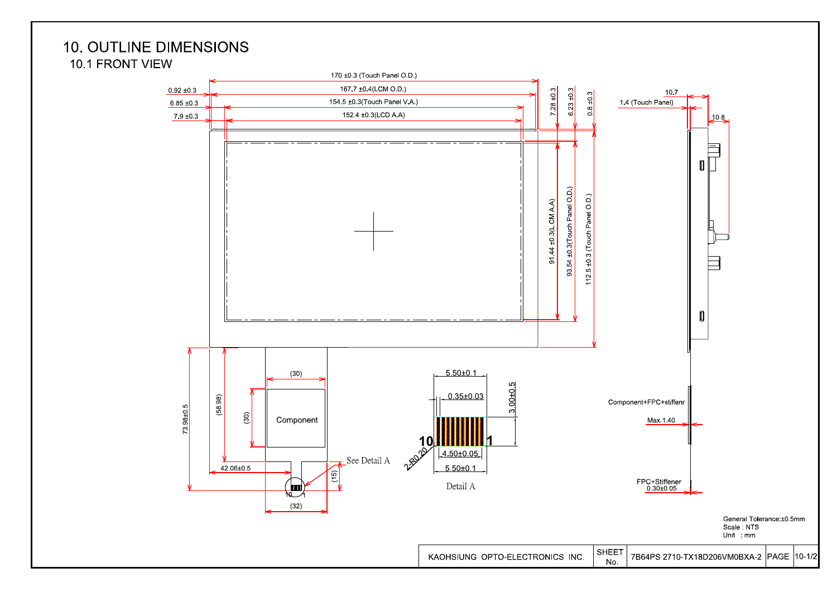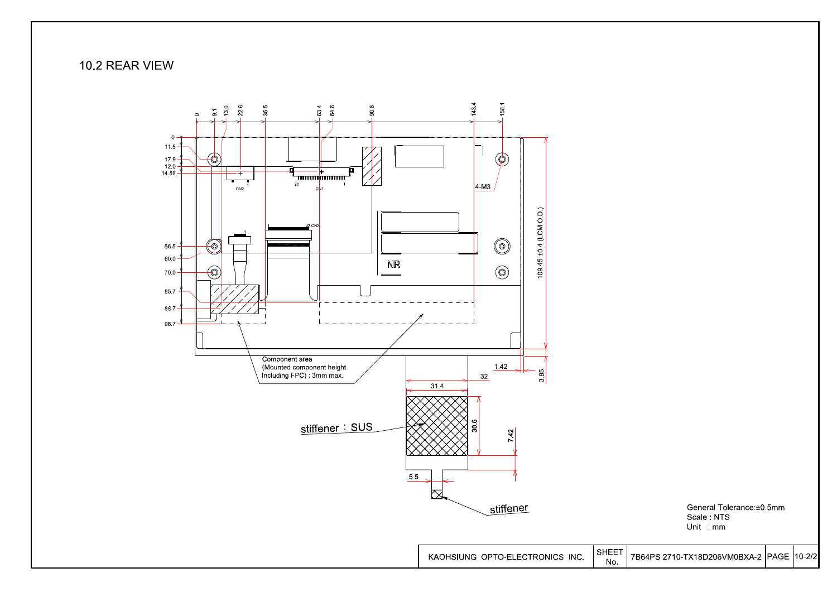10.2 REAR VIEW



7B64PS 2710-TX18D206VM0BXA-2 PAGE 10-2/2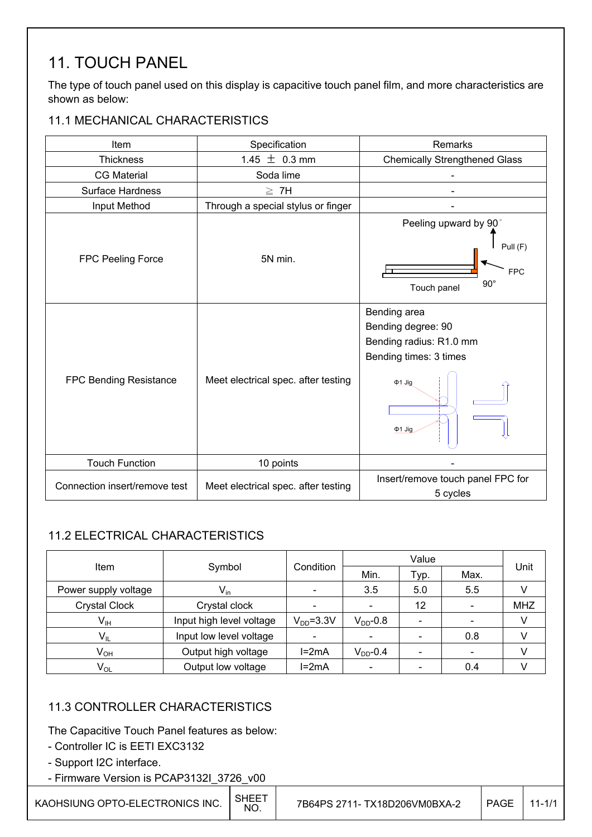# 11. TOUCH PANEL

The type of touch panel used on this display is capacitive touch panel film, and more characteristics are shown as below:

## 11.1 MECHANICAL CHARACTERISTICS

| Item                          | Specification                       | Remarks                                                                                                         |  |  |
|-------------------------------|-------------------------------------|-----------------------------------------------------------------------------------------------------------------|--|--|
| <b>Thickness</b>              | 1.45 $\pm$ 0.3 mm                   | <b>Chemically Strengthened Glass</b>                                                                            |  |  |
| <b>CG Material</b>            | Soda lime                           |                                                                                                                 |  |  |
| <b>Surface Hardness</b>       | $\geq$ 7H                           |                                                                                                                 |  |  |
| Input Method                  | Through a special stylus or finger  |                                                                                                                 |  |  |
| FPC Peeling Force             | 5N min.                             | Peeling upward by 90°<br>Pull (F)<br><b>FPC</b><br>$90^\circ$<br>Touch panel                                    |  |  |
| FPC Bending Resistance        | Meet electrical spec. after testing | Bending area<br>Bending degree: 90<br>Bending radius: R1.0 mm<br>Bending times: 3 times<br>$Φ1$ Jig<br>$Φ1$ Jig |  |  |
| <b>Touch Function</b>         | 10 points                           |                                                                                                                 |  |  |
| Connection insert/remove test | Meet electrical spec. after testing | Insert/remove touch panel FPC for<br>5 cycles                                                                   |  |  |

## 11.2 ELECTRICAL CHARACTERISTICS

| Item                 | Symbol                   | Condition       | Min.                     | Typ. | Max. | Unit       |
|----------------------|--------------------------|-----------------|--------------------------|------|------|------------|
| Power supply voltage | $V_{in}$                 |                 | 3.5                      | 5.0  | 5.5  |            |
| <b>Crystal Clock</b> | Crystal clock            |                 |                          | 12   |      | <b>MHZ</b> |
| V <sub>IH</sub>      | Input high level voltage | $V_{DD} = 3.3V$ | $V_{DD}$ -0.8            |      |      |            |
| $V_{IL}$             | Input low level voltage  |                 | $\overline{\phantom{a}}$ |      | 0.8  |            |
| $V_{OH}$             | Output high voltage      | l=2mA           | $V_{DD}$ -0.4            |      |      |            |
| $V_{OL}$             | Output low voltage       | $I=2mA$         | $\overline{\phantom{a}}$ |      | 0.4  |            |

## 11.3 CONTROLLER CHARACTERISTICS

The Capacitive Touch Panel features as below:

- Controller IC is EETI EXC3132
- Support I2C interface.
- Firmware Version is PCAP3132I\_3726\_v00

KAOHSIUNG OPTO-ELECTRONICS INC.  $\Big|\substack{\text{SHEET} \ \text{NO.}}$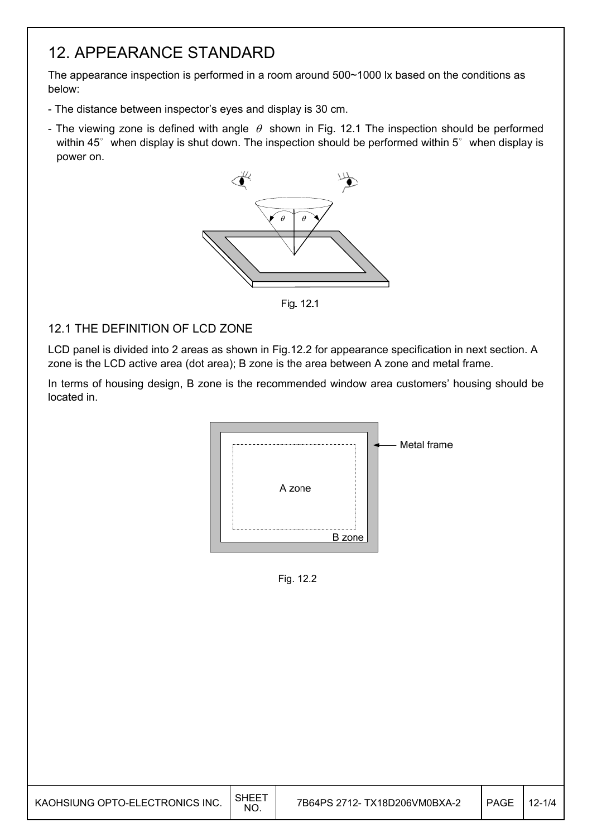# 12. APPEARANCE STANDARD

The appearance inspection is performed in a room around 500~1000 lx based on the conditions as below:

- The distance between inspector's eyes and display is 30 cm.
- The viewing zone is defined with angle  $\theta$  shown in Fig. 12.1 The inspection should be performed within 45° when display is shut down. The inspection should be performed within 5° when display is power on.



Fig. 12.1

## 12.1 THE DEFINITION OF LCD ZONE

LCD panel is divided into 2 areas as shown in Fig.12.2 for appearance specification in next section. A zone is the LCD active area (dot area); B zone is the area between A zone and metal frame.

In terms of housing design, B zone is the recommended window area customers' housing should be located in.



Fig. 12.2

| KAOHSIUNG OPTO-ELECTRONICS INC. | . SHEET<br>NO. | 7B64PS 2712- TX18D206VM0BXA-2 | <b>PAGE</b> | $12 - 1/4$ |
|---------------------------------|----------------|-------------------------------|-------------|------------|
|---------------------------------|----------------|-------------------------------|-------------|------------|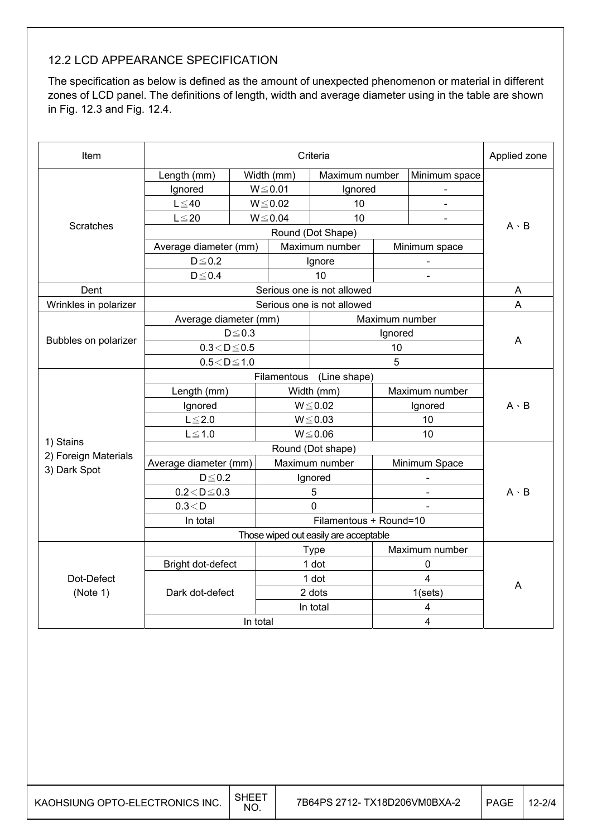## 12.2 LCD APPEARANCE SPECIFICATION

The specification as below is defined as the amount of unexpected phenomenon or material in different zones of LCD panel. The definitions of length, width and average diameter using in the table are shown in Fig. 12.3 and Fig. 12.4.

| Item                              |                        |                   |                    | Criteria                              |                |                | Applied zone |  |  |
|-----------------------------------|------------------------|-------------------|--------------------|---------------------------------------|----------------|----------------|--------------|--|--|
|                                   | Length (mm)            |                   | Width (mm)         | Maximum number                        |                | Minimum space  |              |  |  |
|                                   | Ignored                |                   | $W \le 0.01$       |                                       | Ignored        |                |              |  |  |
|                                   | $L \leq 40$            |                   | $W \le 0.02$       | 10                                    |                | $\overline{a}$ |              |  |  |
|                                   | $L \leq 20$            |                   | $W \le 0.04$<br>10 |                                       |                |                | $A \cdot B$  |  |  |
| <b>Scratches</b>                  |                        | Round (Dot Shape) |                    |                                       |                |                |              |  |  |
|                                   | Average diameter (mm)  |                   |                    | Maximum number                        |                | Minimum space  |              |  |  |
|                                   | $D \leq 0.2$           |                   |                    | Ignore                                |                |                |              |  |  |
|                                   | $D \le 0.4$            |                   |                    | 10                                    |                |                |              |  |  |
| Dent                              |                        |                   |                    | Serious one is not allowed            |                |                | A            |  |  |
| Wrinkles in polarizer             |                        |                   |                    | Serious one is not allowed            |                |                | A            |  |  |
|                                   | Average diameter (mm)  |                   |                    |                                       | Maximum number |                |              |  |  |
| Bubbles on polarizer              | $D \le 0.3$            |                   |                    | A                                     |                |                |              |  |  |
|                                   | $0.3 < D \le 0.5$      |                   |                    |                                       | 10             |                |              |  |  |
|                                   | $0.5\!<\!D\!\leq\!1.0$ |                   |                    |                                       | 5              |                |              |  |  |
|                                   |                        |                   | Filamentous        | (Line shape)                          |                |                |              |  |  |
|                                   | Length (mm)            |                   |                    | Width (mm)                            |                | Maximum number |              |  |  |
|                                   | Ignored                |                   |                    | $W \le 0.02$                          |                | Ignored        | $A \cdot B$  |  |  |
|                                   | $L \leq 2.0$           |                   |                    | $W \le 0.03$                          |                | 10             |              |  |  |
|                                   | $L \leq 1.0$           |                   | $W \le 0.06$       |                                       |                | 10             |              |  |  |
| 1) Stains<br>2) Foreign Materials |                        |                   |                    |                                       |                |                |              |  |  |
| 3) Dark Spot                      | Average diameter (mm)  |                   | Maximum number     |                                       |                | Minimum Space  |              |  |  |
|                                   | $D \leq 0.2$           |                   | Ignored            |                                       |                |                |              |  |  |
|                                   | $0.2 < D \le 0.3$      |                   |                    | 5                                     |                |                | $A \cdot B$  |  |  |
|                                   | 0.3 < D                |                   |                    | $\mathbf 0$                           |                |                |              |  |  |
|                                   | In total               |                   |                    | Filamentous + Round=10                |                |                |              |  |  |
|                                   |                        |                   |                    | Those wiped out easily are acceptable |                |                |              |  |  |
|                                   |                        |                   |                    | <b>Type</b>                           |                | Maximum number |              |  |  |
|                                   | Bright dot-defect      |                   |                    | 1 dot                                 |                | $\mathbf 0$    |              |  |  |
| Dot-Defect                        |                        |                   |                    | 1 dot                                 | $\overline{4}$ |                | A            |  |  |
| (Note 1)                          | Dark dot-defect        |                   |                    | 2 dots                                | 1(sets)        |                |              |  |  |
|                                   |                        |                   |                    | In total                              | 4              |                |              |  |  |
|                                   |                        | In total          |                    |                                       |                | 4              |              |  |  |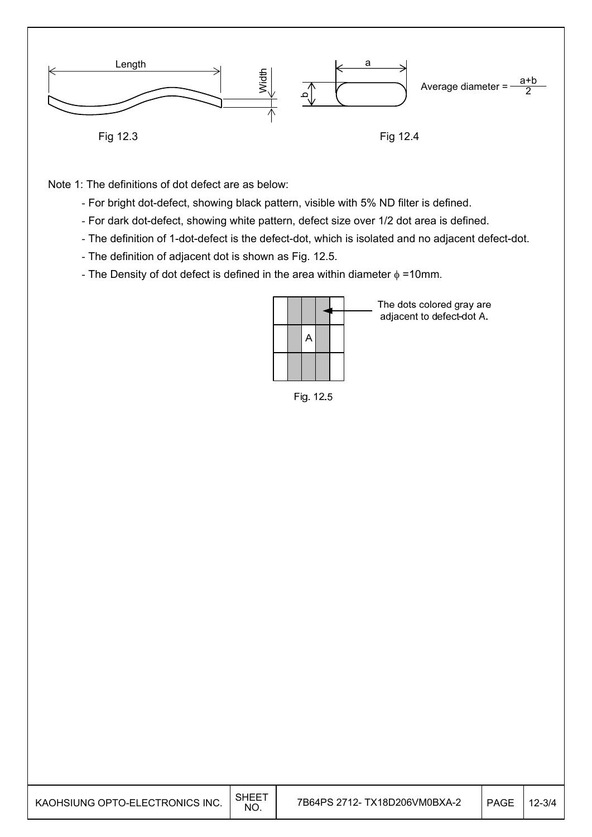

Note 1: The definitions of dot defect are as below:

- For bright dot-defect, showing black pattern, visible with 5% ND filter is defined.
- For dark dot-defect, showing white pattern, defect size over 1/2 dot area is defined.
- The definition of 1-dot-defect is the defect-dot, which is isolated and no adjacent defect-dot.
- The definition of adjacent dot is shown as Fig. 12.5.
- The Density of dot defect is defined in the area within diameter  $\phi = 10$ mm.



The dots colored gray are adjacent to defect-dot A.

| ٠r |  |
|----|--|
|----|--|

| KAOHSIUNG OPTO-ELECTRONICS INC. | <b>SHEET</b><br>NO. | 7B64PS 2712- TX18D206VM0BXA-2 | <b>PAGE</b> | $12 - 3/4$ |
|---------------------------------|---------------------|-------------------------------|-------------|------------|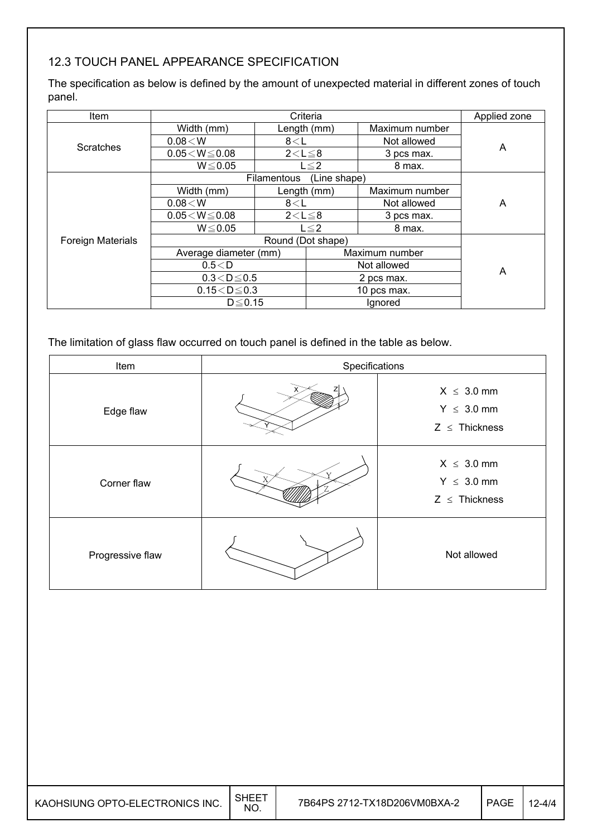## 12.3 TOUCH PANEL APPEARANCE SPECIFICATION

The specification as below is defined by the amount of unexpected material in different zones of touch panel.

| Item                     | Criteria              |                                    |                   | Applied zone   |   |  |
|--------------------------|-----------------------|------------------------------------|-------------------|----------------|---|--|
|                          | Width (mm)            |                                    | Length (mm)       | Maximum number |   |  |
| <b>Scratches</b>         | 0.08 < W              | $8<$ L                             |                   | Not allowed    | A |  |
|                          | $0.05 < W \le 0.08$   | $2 < L \leq 8$                     |                   | 3 pcs max.     |   |  |
|                          | $W \le 0.05$          |                                    | $L \leq 2$        | 8 max.         |   |  |
|                          |                       | (Line shape)<br><b>Filamentous</b> |                   |                |   |  |
|                          | Width (mm)            |                                    | Length (mm)       | Maximum number |   |  |
|                          | 0.08 < W              | $8<$ L                             |                   | Not allowed    | A |  |
|                          | $0.05 < W \le 0.08$   | $2 < L \leq 8$                     |                   | 3 pcs max.     |   |  |
|                          | $W \le 0.05$          | $L \leq 2$                         |                   | 8 max.         |   |  |
| <b>Foreign Materials</b> |                       |                                    | Round (Dot shape) |                |   |  |
|                          | Average diameter (mm) |                                    | Maximum number    |                | A |  |
|                          | $0.5<$ D              |                                    | Not allowed       |                |   |  |
|                          | $0.3 < D \le 0.5$     |                                    | 2 pcs max.        |                |   |  |
|                          | $0.15 < D \le 0.3$    |                                    | 10 pcs max.       |                |   |  |
|                          | $D \leq 0.15$         |                                    | Ignored           |                |   |  |

The limitation of glass flaw occurred on touch panel is defined in the table as below.

| Item             | Specifications |                                                          |  |
|------------------|----------------|----------------------------------------------------------|--|
| Edge flaw        |                | $X \leq 3.0$ mm<br>$Y \leq 3.0$ mm<br>$Z \leq$ Thickness |  |
| Corner flaw      |                | $X \leq 3.0$ mm<br>$Y \leq 3.0$ mm<br>$Z \leq$ Thickness |  |
| Progressive flaw |                | Not allowed                                              |  |

| KAOHSIUNG OPTO-ELECTRONICS INC. | <b>SHEET</b><br>NO. | 7B64PS 2712-TX18D206VM0BXA-2 | <b>PAGE</b> |  |
|---------------------------------|---------------------|------------------------------|-------------|--|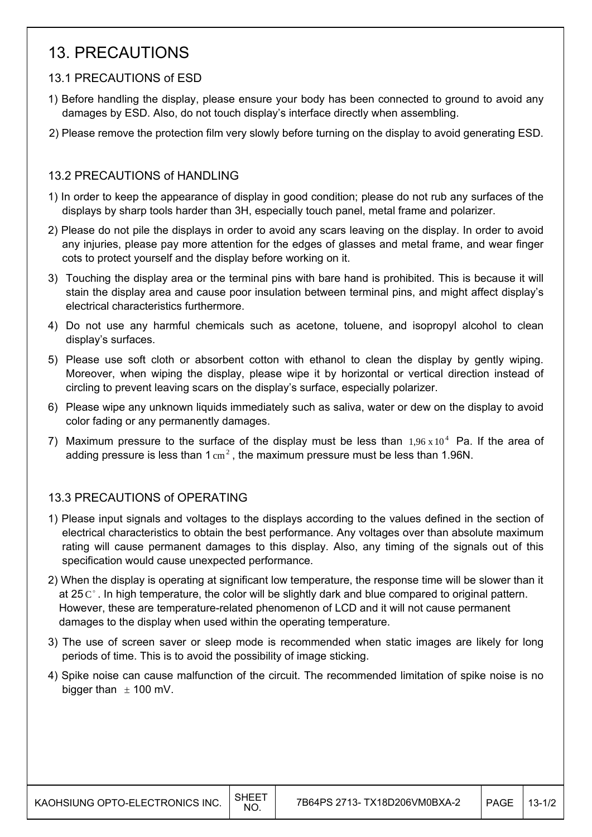# 13. PRECAUTIONS

## 13.1 PRECAUTIONS of ESD

- 1) Before handling the display, please ensure your body has been connected to ground to avoid any damages by ESD. Also, do not touch display's interface directly when assembling.
- 2) Please remove the protection film very slowly before turning on the display to avoid generating ESD.

### 13.2 PRECAUTIONS of HANDLING

- 1) In order to keep the appearance of display in good condition; please do not rub any surfaces of the displays by sharp tools harder than 3H, especially touch panel, metal frame and polarizer.
- 2) Please do not pile the displays in order to avoid any scars leaving on the display. In order to avoid any injuries, please pay more attention for the edges of glasses and metal frame, and wear finger cots to protect yourself and the display before working on it.
- 3) Touching the display area or the terminal pins with bare hand is prohibited. This is because it will stain the display area and cause poor insulation between terminal pins, and might affect display's electrical characteristics furthermore.
- 4) Do not use any harmful chemicals such as acetone, toluene, and isopropyl alcohol to clean display's surfaces.
- 5) Please use soft cloth or absorbent cotton with ethanol to clean the display by gently wiping. Moreover, when wiping the display, please wipe it by horizontal or vertical direction instead of circling to prevent leaving scars on the display's surface, especially polarizer.
- 6) Please wipe any unknown liquids immediately such as saliva, water or dew on the display to avoid color fading or any permanently damages.
- 7) Maximum pressure to the surface of the display must be less than  $1.96 \times 10^4$  Pa. If the area of adding pressure is less than  $1 \text{ cm}^2$ , the maximum pressure must be less than 1.96N.

### 13.3 PRECAUTIONS of OPERATING

- 1) Please input signals and voltages to the displays according to the values defined in the section of electrical characteristics to obtain the best performance. Any voltages over than absolute maximum rating will cause permanent damages to this display. Also, any timing of the signals out of this specification would cause unexpected performance.
- 2) When the display is operating at significant low temperature, the response time will be slower than it at 25 $C^{\circ}$ . In high temperature, the color will be slightly dark and blue compared to original pattern. However, these are temperature-related phenomenon of LCD and it will not cause permanent damages to the display when used within the operating temperature.
- 3) The use of screen saver or sleep mode is recommended when static images are likely for long periods of time. This is to avoid the possibility of image sticking.
- 4) Spike noise can cause malfunction of the circuit. The recommended limitation of spike noise is no bigger than  $\pm$  100 mV.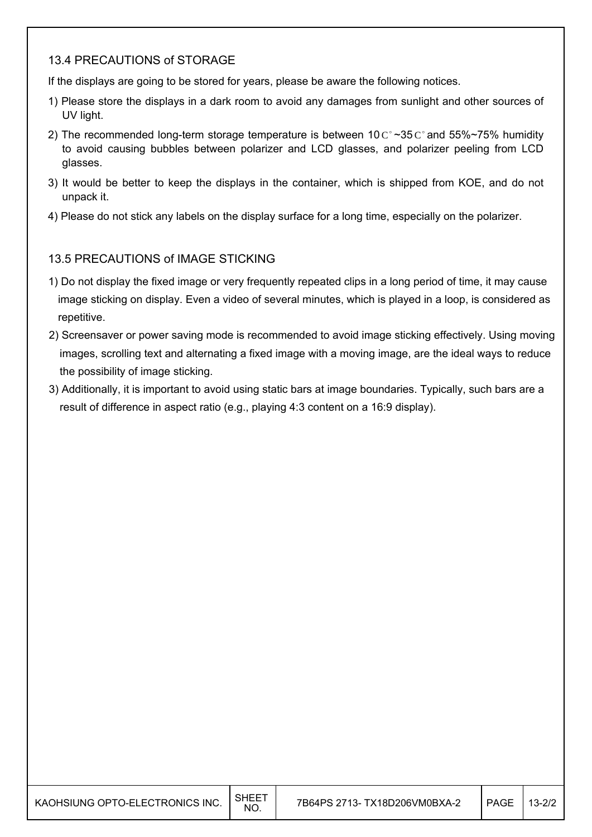### 13.4 PRECAUTIONS of STORAGE

If the displays are going to be stored for years, please be aware the following notices.

- 1) Please store the displays in a dark room to avoid any damages from sunlight and other sources of UV light.
- 2) The recommended long-term storage temperature is between  $10^{\circ}$  ~35  $^{\circ}$  and 55%~75% humidity to avoid causing bubbles between polarizer and LCD glasses, and polarizer peeling from LCD glasses.
- 3) It would be better to keep the displays in the container, which is shipped from KOE, and do not unpack it.
- 4) Please do not stick any labels on the display surface for a long time, especially on the polarizer.

### 13.5 PRECAUTIONS of IMAGE STICKING

- 1) Do not display the fixed image or very frequently repeated clips in a long period of time, it may cause image sticking on display. Even a video of several minutes, which is played in a loop, is considered as repetitive.
- 2) Screensaver or power saving mode is recommended to avoid image sticking effectively. Using moving images, scrolling text and alternating a fixed image with a moving image, are the ideal ways to reduce the possibility of image sticking.
- 3) Additionally, it is important to avoid using static bars at image boundaries. Typically, such bars are a result of difference in aspect ratio (e.g., playing 4:3 content on a 16:9 display).

| KAOHSIUNG OPTO-ELECTRONICS INC. | SHEE <sup>T</sup><br><b>NO</b> | 7B64PS 2713- TX18D206VM0BXA-2 | PAGE | $13 - 2/2$ |
|---------------------------------|--------------------------------|-------------------------------|------|------------|
|---------------------------------|--------------------------------|-------------------------------|------|------------|